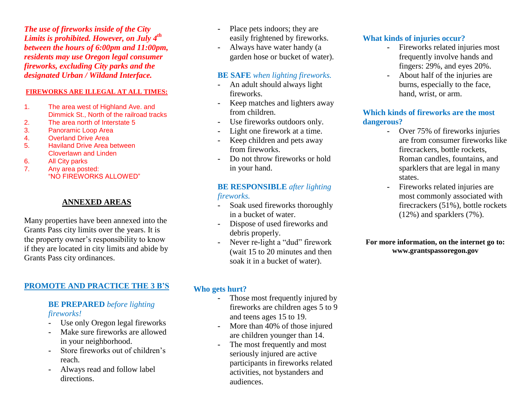*The use of fireworks inside of the City Limits is prohibited. However, on July 4th between the hours of 6:00pm and 11:00pm, residents may use Oregon legal consumer fireworks, excluding City parks and the designated Urban / Wildand Interface.*

#### **FIREWORKS ARE ILLEGAL AT ALL TIMES:**

- 1. The area west of Highland Ave. and Dimmick St., North of the railroad tracks
- 2. The area north of Interstate 5
- 3. Panoramic Loop Area
- 4. Overland Drive Area
- 5. Haviland Drive Area between Cloverlawn and Linden
- 6. All City parks
- 7. Any area posted: "NO FIREWORKS ALLOWED"

## **ANNEXED AREAS**

Many properties have been annexed into the Grants Pass city limits over the years. It is the property owner's responsibility to know if they are located in city limits and abide by Grants Pass city ordinances.

## **PROMOTE AND PRACTICE THE 3 B'S**

### **BE PREPARED** *before lighting fireworks!*

- **-** Use only Oregon legal fireworks
- **-** Make sure fireworks are allowed in your neighborhood.
- **-** Store fireworks out of children's reach.
- **-** Always read and follow label directions.
- **-** Place pets indoors; they are easily frightened by fireworks.
- **-** Always have water handy (a garden hose or bucket of water).

### **BE SAFE** *when lighting fireworks.*

- **-** An adult should always light fireworks.
- **-** Keep matches and lighters away from children.
- **-** Use fireworks outdoors only.
- **-** Light one firework at a time.
- **-** Keep children and pets away from fireworks.
- **-** Do not throw fireworks or hold in your hand.

#### **BE RESPONSIBLE** *after lighting fireworks.*

- **-** Soak used fireworks thoroughly in a bucket of water.
- **-** Dispose of used fireworks and debris properly.
- **-** Never re-light a "dud" firework (wait 15 to 20 minutes and then soak it in a bucket of water).

## **Who gets hurt?**

- **-** Those most frequently injured by fireworks are children ages 5 to 9 and teens ages 15 to 19.
- **-** More than 40% of those injured are children younger than 14.
- The most frequently and most seriously injured are active participants in fireworks related activities, not bystanders and audiences.

# **What kinds of injuries occur?**

- **-** Fireworks related injuries most frequently involve hands and fingers: 29%, and eyes 20%.
- **-** About half of the injuries are burns, especially to the face, hand, wrist, or arm.

### **Which kinds of fireworks are the most dangerous?**

- **-** Over 75% of fireworks injuries are from consumer fireworks like firecrackers, bottle rockets, Roman candles, fountains, and sparklers that are legal in many states.
- **-** Fireworks related injuries are most commonly associated with firecrackers (51%), bottle rockets (12%) and sparklers (7%).

#### **For more information, on the internet go to: www.grantspassoregon.gov**